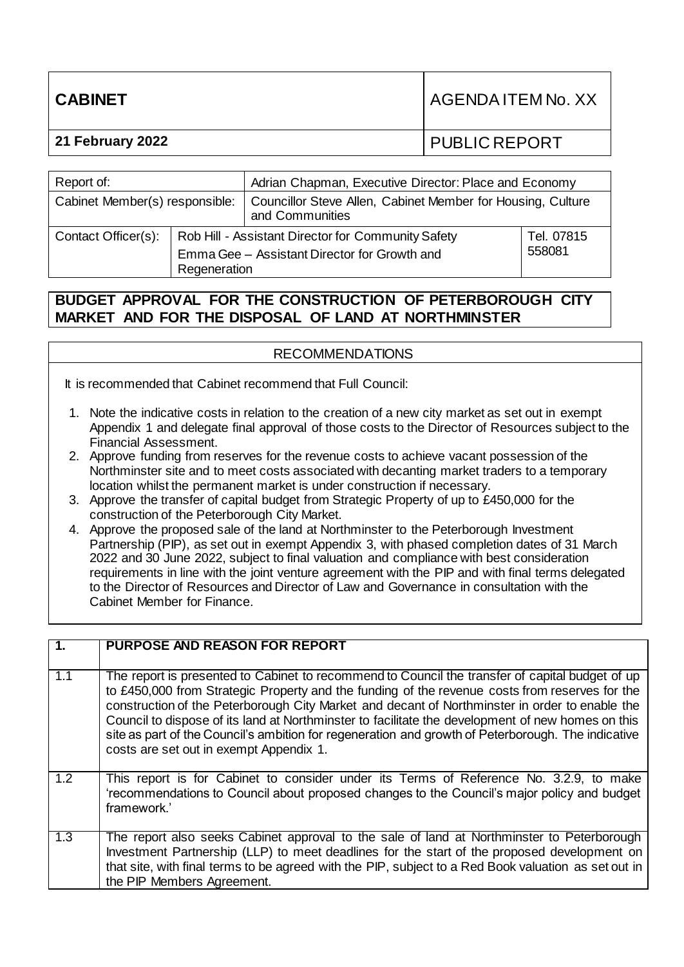| <b>CABINET</b>   | I AGENDA ITEM No. XX |
|------------------|----------------------|
| 21 February 2022 | <b>PUBLIC REPORT</b> |
|                  |                      |

| Report of:                     |                                                                                                                    | Adrian Chapman, Executive Director: Place and Economy                          |                      |  |
|--------------------------------|--------------------------------------------------------------------------------------------------------------------|--------------------------------------------------------------------------------|----------------------|--|
| Cabinet Member(s) responsible: |                                                                                                                    | Councillor Steve Allen, Cabinet Member for Housing, Culture<br>and Communities |                      |  |
| Contact Officer(s):            | Rob Hill - Assistant Director for Community Safety<br>Emma Gee - Assistant Director for Growth and<br>Regeneration |                                                                                | Tel. 07815<br>558081 |  |

# **BUDGET APPROVAL FOR THE CONSTRUCTION OF PETERBOROUGH CITY MARKET AND FOR THE DISPOSAL OF LAND AT NORTHMINSTER**

## RECOMMENDATIONS

It is recommended that Cabinet recommend that Full Council:

- 1. Note the indicative costs in relation to the creation of a new city market as set out in exempt Appendix 1 and delegate final approval of those costs to the Director of Resources subject to the Financial Assessment.
- 2. Approve funding from reserves for the revenue costs to achieve vacant possession of the Northminster site and to meet costs associated with decanting market traders to a temporary location whilst the permanent market is under construction if necessary.
- 3. Approve the transfer of capital budget from Strategic Property of up to £450,000 for the construction of the Peterborough City Market.
- 4. Approve the proposed sale of the land at Northminster to the Peterborough Investment Partnership (PIP), as set out in exempt Appendix 3, with phased completion dates of 31 March 2022 and 30 June 2022, subject to final valuation and compliance with best consideration requirements in line with the joint venture agreement with the PIP and with final terms delegated to the Director of Resources and Director of Law and Governance in consultation with the Cabinet Member for Finance.

| $\overline{1}$ . | PURPOSE AND REASON FOR REPORT                                                                                                                                                                                                                                                                                                                                                                                                                                                                                                                             |
|------------------|-----------------------------------------------------------------------------------------------------------------------------------------------------------------------------------------------------------------------------------------------------------------------------------------------------------------------------------------------------------------------------------------------------------------------------------------------------------------------------------------------------------------------------------------------------------|
| 1.1              | The report is presented to Cabinet to recommend to Council the transfer of capital budget of up<br>to £450,000 from Strategic Property and the funding of the revenue costs from reserves for the<br>construction of the Peterborough City Market and decant of Northminster in order to enable the<br>Council to dispose of its land at Northminster to facilitate the development of new homes on this<br>site as part of the Council's ambition for regeneration and growth of Peterborough. The indicative<br>costs are set out in exempt Appendix 1. |
| 1.2              | This report is for Cabinet to consider under its Terms of Reference No. 3.2.9, to make<br>'recommendations to Council about proposed changes to the Council's major policy and budget<br>framework.'                                                                                                                                                                                                                                                                                                                                                      |
| 1.3              | The report also seeks Cabinet approval to the sale of land at Northminster to Peterborough<br>Investment Partnership (LLP) to meet deadlines for the start of the proposed development on<br>that site, with final terms to be agreed with the PIP, subject to a Red Book valuation as set out in<br>the PIP Members Agreement.                                                                                                                                                                                                                           |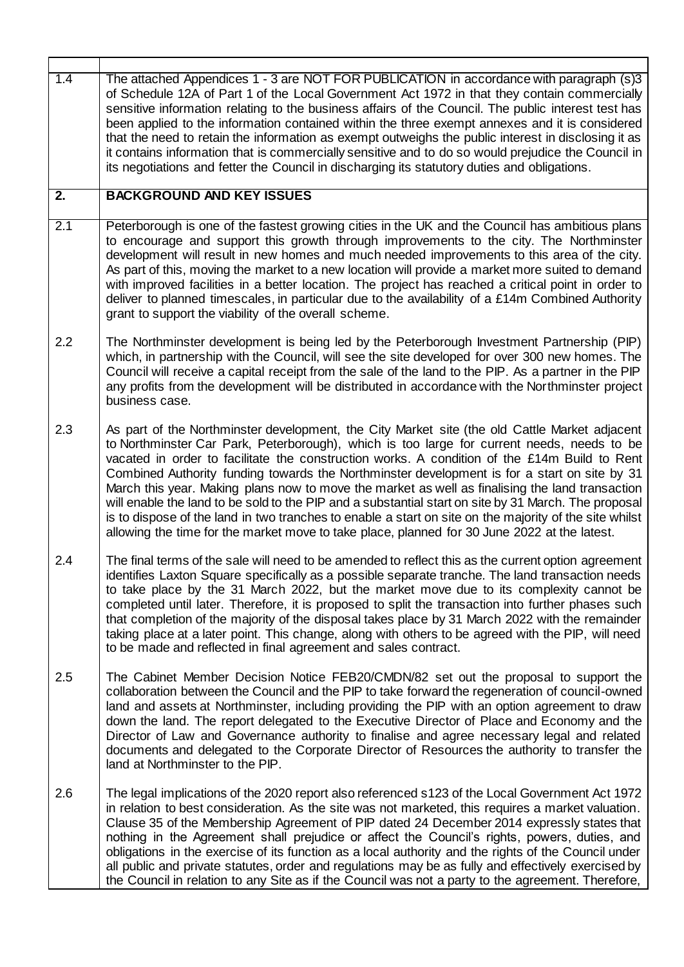| $\overline{1.4}$ | The attached Appendices 1 - 3 are NOT FOR PUBLICATION in accordance with paragraph (s)3<br>of Schedule 12A of Part 1 of the Local Government Act 1972 in that they contain commercially<br>sensitive information relating to the business affairs of the Council. The public interest test has<br>been applied to the information contained within the three exempt annexes and it is considered<br>that the need to retain the information as exempt outweighs the public interest in disclosing it as<br>it contains information that is commercially sensitive and to do so would prejudice the Council in<br>its negotiations and fetter the Council in discharging its statutory duties and obligations.                                                                                                    |
|------------------|------------------------------------------------------------------------------------------------------------------------------------------------------------------------------------------------------------------------------------------------------------------------------------------------------------------------------------------------------------------------------------------------------------------------------------------------------------------------------------------------------------------------------------------------------------------------------------------------------------------------------------------------------------------------------------------------------------------------------------------------------------------------------------------------------------------|
| $\overline{2}$ . | <b>BACKGROUND AND KEY ISSUES</b>                                                                                                                                                                                                                                                                                                                                                                                                                                                                                                                                                                                                                                                                                                                                                                                 |
| 2.1              | Peterborough is one of the fastest growing cities in the UK and the Council has ambitious plans<br>to encourage and support this growth through improvements to the city. The Northminster<br>development will result in new homes and much needed improvements to this area of the city.<br>As part of this, moving the market to a new location will provide a market more suited to demand<br>with improved facilities in a better location. The project has reached a critical point in order to<br>deliver to planned timescales, in particular due to the availability of a £14m Combined Authority<br>grant to support the viability of the overall scheme.                                                                                                                                               |
| 2.2              | The Northminster development is being led by the Peterborough Investment Partnership (PIP)<br>which, in partnership with the Council, will see the site developed for over 300 new homes. The<br>Council will receive a capital receipt from the sale of the land to the PIP. As a partner in the PIP<br>any profits from the development will be distributed in accordance with the Northminster project<br>business case.                                                                                                                                                                                                                                                                                                                                                                                      |
| 2.3              | As part of the Northminster development, the City Market site (the old Cattle Market adjacent<br>to Northminster Car Park, Peterborough), which is too large for current needs, needs to be<br>vacated in order to facilitate the construction works. A condition of the £14m Build to Rent<br>Combined Authority funding towards the Northminster development is for a start on site by 31<br>March this year. Making plans now to move the market as well as finalising the land transaction<br>will enable the land to be sold to the PIP and a substantial start on site by 31 March. The proposal<br>is to dispose of the land in two tranches to enable a start on site on the majority of the site whilst<br>allowing the time for the market move to take place, planned for 30 June 2022 at the latest. |
| 2.4              | The final terms of the sale will need to be amended to reflect this as the current option agreement<br>identifies Laxton Square specifically as a possible separate tranche. The land transaction needs<br>to take place by the 31 March 2022, but the market move due to its complexity cannot be<br>completed until later. Therefore, it is proposed to split the transaction into further phases such<br>that completion of the majority of the disposal takes place by 31 March 2022 with the remainder<br>taking place at a later point. This change, along with others to be agreed with the PIP, will need<br>to be made and reflected in final agreement and sales contract.                                                                                                                             |
| 2.5              | The Cabinet Member Decision Notice FEB20/CMDN/82 set out the proposal to support the<br>collaboration between the Council and the PIP to take forward the regeneration of council-owned<br>land and assets at Northminster, including providing the PIP with an option agreement to draw<br>down the land. The report delegated to the Executive Director of Place and Economy and the<br>Director of Law and Governance authority to finalise and agree necessary legal and related<br>documents and delegated to the Corporate Director of Resources the authority to transfer the<br>land at Northminster to the PIP.                                                                                                                                                                                         |
| 2.6              | The legal implications of the 2020 report also referenced s123 of the Local Government Act 1972<br>in relation to best consideration. As the site was not marketed, this requires a market valuation.<br>Clause 35 of the Membership Agreement of PIP dated 24 December 2014 expressly states that<br>nothing in the Agreement shall prejudice or affect the Council's rights, powers, duties, and<br>obligations in the exercise of its function as a local authority and the rights of the Council under<br>all public and private statutes, order and regulations may be as fully and effectively exercised by<br>the Council in relation to any Site as if the Council was not a party to the agreement. Therefore,                                                                                          |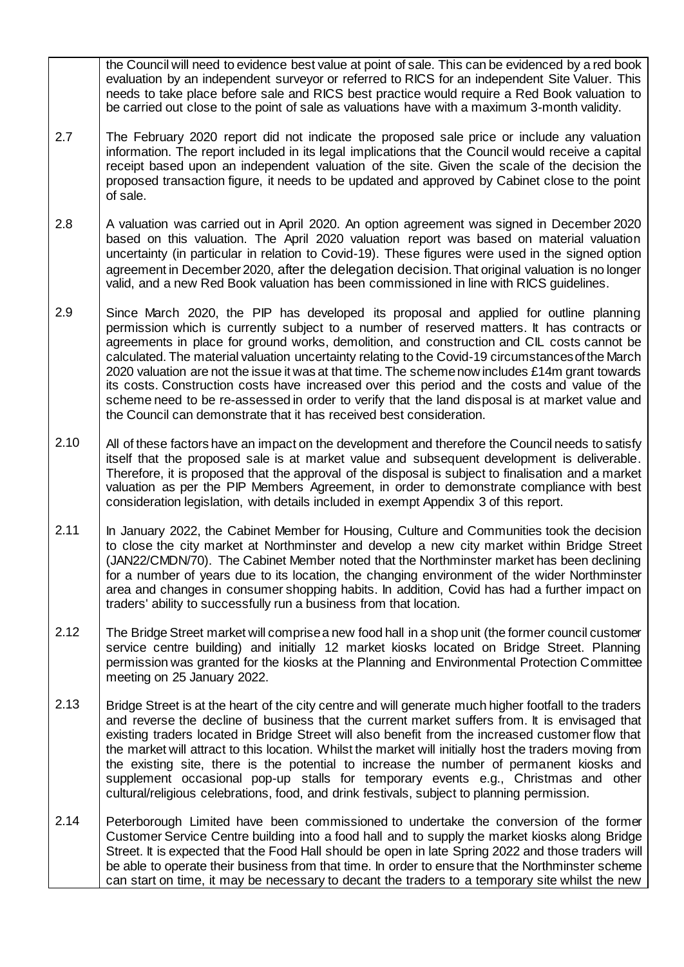the Council will need to evidence best value at point of sale. This can be evidenced by a red book evaluation by an independent surveyor or referred to RICS for an independent Site Valuer. This needs to take place before sale and RICS best practice would require a Red Book valuation to be carried out close to the point of sale as valuations have with a maximum 3-month validity.

- 2.7 The February 2020 report did not indicate the proposed sale price or include any valuation information. The report included in its legal implications that the Council would receive a capital receipt based upon an independent valuation of the site. Given the scale of the decision the proposed transaction figure, it needs to be updated and approved by Cabinet close to the point of sale.
- 2.8 A valuation was carried out in April 2020. An option agreement was signed in December 2020 based on this valuation. The April 2020 valuation report was based on material valuation uncertainty (in particular in relation to Covid-19). These figures were used in the signed option agreement in December 2020, after the delegation decision. That original valuation is no longer valid, and a new Red Book valuation has been commissioned in line with RICS guidelines.
- 2.9 Since March 2020, the PIP has developed its proposal and applied for outline planning permission which is currently subject to a number of reserved matters. It has contracts or agreements in place for ground works, demolition, and construction and CIL costs cannot be calculated. The material valuation uncertainty relating to the Covid-19 circumstances of the March 2020 valuation are not the issue it was at that time. The scheme now includes £14m grant towards its costs. Construction costs have increased over this period and the costs and value of the scheme need to be re-assessed in order to verify that the land disposal is at market value and the Council can demonstrate that it has received best consideration.
- 2.10 All of these factors have an impact on the development and therefore the Council needs to satisfy itself that the proposed sale is at market value and subsequent development is deliverable. Therefore, it is proposed that the approval of the disposal is subject to finalisation and a market valuation as per the PIP Members Agreement, in order to demonstrate compliance with best consideration legislation, with details included in exempt Appendix 3 of this report.
- 2.11 In January 2022, the Cabinet Member for Housing, Culture and Communities took the decision to close the city market at Northminster and develop a new city market within Bridge Street (JAN22/CMDN/70). The Cabinet Member noted that the Northminster market has been declining for a number of years due to its location, the changing environment of the wider Northminster area and changes in consumer shopping habits. In addition, Covid has had a further impact on traders' ability to successfully run a business from that location.
- 2.12 The Bridge Street market will comprise a new food hall in a shop unit (the former council customer service centre building) and initially 12 market kiosks located on Bridge Street. Planning permission was granted for the kiosks at the Planning and Environmental Protection Committee meeting on 25 January 2022.
- 2.13 Bridge Street is at the heart of the city centre and will generate much higher footfall to the traders and reverse the decline of business that the current market suffers from. It is envisaged that existing traders located in Bridge Street will also benefit from the increased customer flow that the market will attract to this location. Whilst the market will initially host the traders moving from the existing site, there is the potential to increase the number of permanent kiosks and supplement occasional pop-up stalls for temporary events e.g., Christmas and other cultural/religious celebrations, food, and drink festivals, subject to planning permission.
- 2.14 Peterborough Limited have been commissioned to undertake the conversion of the former Customer Service Centre building into a food hall and to supply the market kiosks along Bridge Street. It is expected that the Food Hall should be open in late Spring 2022 and those traders will be able to operate their business from that time. In order to ensure that the Northminster scheme can start on time, it may be necessary to decant the traders to a temporary site whilst the new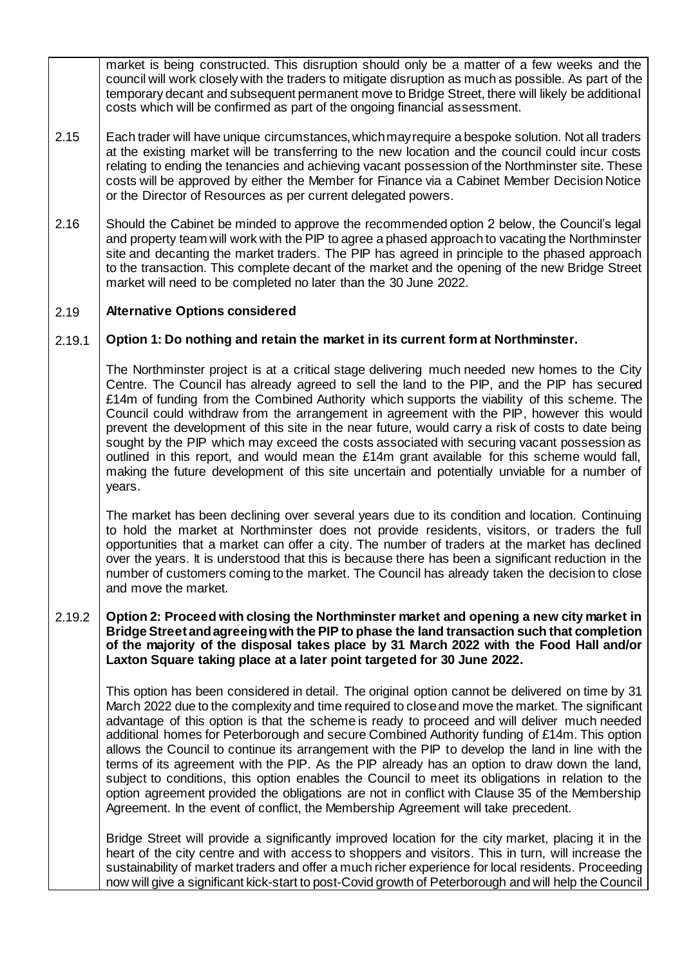market is being constructed. This disruption should only be a matter of a few weeks and the council will work closely with the traders to mitigate disruption as much as possible. As part of the temporary decant and subsequent permanent move to Bridge Street, there will likely be additional costs which will be confirmed as part of the ongoing financial assessment.

- 2.15 Each trader will have unique circumstances, which may require a bespoke solution. Not all traders at the existing market will be transferring to the new location and the council could incur costs relating to ending the tenancies and achieving vacant possession of the Northminster site. These costs will be approved by either the Member for Finance via a Cabinet Member Decision Notice or the Director of Resources as per current delegated powers.
- 2.16 Should the Cabinet be minded to approve the recommended option 2 below, the Council's legal and property team will work with the PIP to agree a phased approach to vacating the Northminster site and decanting the market traders. The PIP has agreed in principle to the phased approach to the transaction. This complete decant of the market and the opening of the new Bridge Street market will need to be completed no later than the 30 June 2022.

#### 2.19 **Alternative Options considered**

#### 2.19.1 **Option 1: Do nothing and retain the market in its current form at Northminster.**

The Northminster project is at a critical stage delivering much needed new homes to the City Centre. The Council has already agreed to sell the land to the PIP, and the PIP has secured £14m of funding from the Combined Authority which supports the viability of this scheme. The Council could withdraw from the arrangement in agreement with the PIP, however this would prevent the development of this site in the near future, would carry a risk of costs to date being sought by the PIP which may exceed the costs associated with securing vacant possession as outlined in this report, and would mean the  $£14m$  grant available for this scheme would fall, making the future development of this site uncertain and potentially unviable for a number of years.

The market has been declining over several years due to its condition and location. Continuing to hold the market at Northminster does not provide residents, visitors, or traders the full opportunities that a market can offer a city. The number of traders at the market has declined over the years. It is understood that this is because there has been a significant reduction in the number of customers coming to the market. The Council has already taken the decision to close and move the market.

### 2.19.2 **Option 2: Proceed with closing the Northminster market and opening a new city market in Bridge Street and agreeing with the PIP to phase the land transaction such that completion of the majority of the disposal takes place by 31 March 2022 with the Food Hall and/or Laxton Square taking place at a later point targeted for 30 June 2022.**

This option has been considered in detail. The original option cannot be delivered on time by 31 March 2022 due to the complexity and time required to close and move the market. The significant advantage of this option is that the scheme is ready to proceed and will deliver much needed additional homes for Peterborough and secure Combined Authority funding of £14m. This option allows the Council to continue its arrangement with the PIP to develop the land in line with the terms of its agreement with the PIP. As the PIP already has an option to draw down the land, subject to conditions, this option enables the Council to meet its obligations in relation to the option agreement provided the obligations are not in conflict with Clause 35 of the Membership Agreement. In the event of conflict, the Membership Agreement will take precedent.

Bridge Street will provide a significantly improved location for the city market, placing it in the heart of the city centre and with access to shoppers and visitors. This in turn, will increase the sustainability of market traders and offer a much richer experience for local residents. Proceeding now will give a significant kick-start to post-Covid growth of Peterborough and will help the Council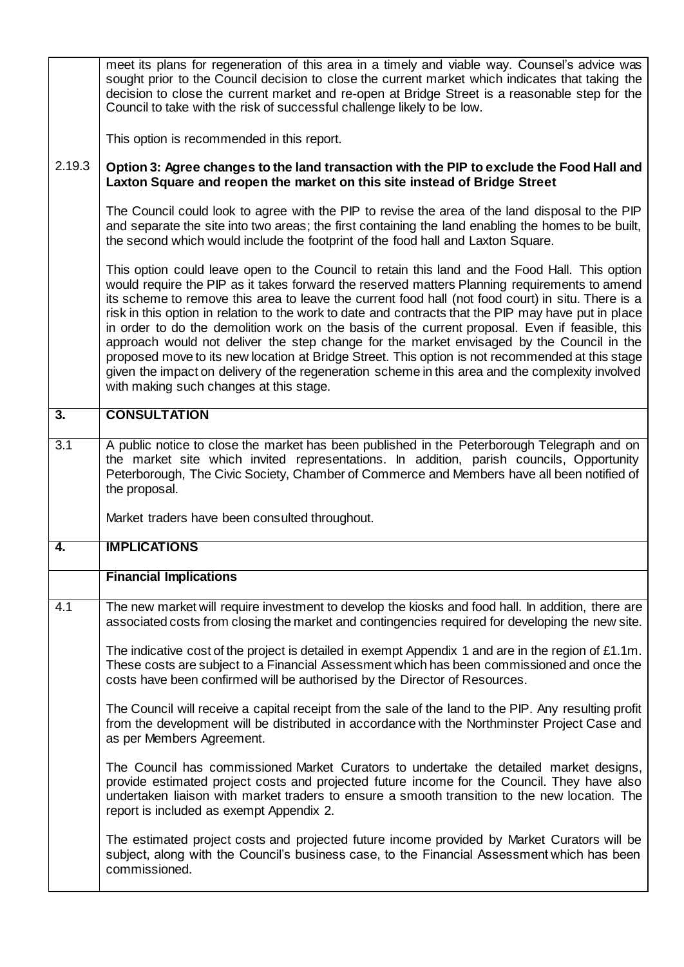|                  | meet its plans for regeneration of this area in a timely and viable way. Counsel's advice was<br>sought prior to the Council decision to close the current market which indicates that taking the<br>decision to close the current market and re-open at Bridge Street is a reasonable step for the<br>Council to take with the risk of successful challenge likely to be low.                                                                                                                                                                                                                                                                                                                                                                                                                                                                                   |  |  |  |
|------------------|------------------------------------------------------------------------------------------------------------------------------------------------------------------------------------------------------------------------------------------------------------------------------------------------------------------------------------------------------------------------------------------------------------------------------------------------------------------------------------------------------------------------------------------------------------------------------------------------------------------------------------------------------------------------------------------------------------------------------------------------------------------------------------------------------------------------------------------------------------------|--|--|--|
|                  | This option is recommended in this report.                                                                                                                                                                                                                                                                                                                                                                                                                                                                                                                                                                                                                                                                                                                                                                                                                       |  |  |  |
| 2.19.3           | Option 3: Agree changes to the land transaction with the PIP to exclude the Food Hall and<br>Laxton Square and reopen the market on this site instead of Bridge Street                                                                                                                                                                                                                                                                                                                                                                                                                                                                                                                                                                                                                                                                                           |  |  |  |
|                  | The Council could look to agree with the PIP to revise the area of the land disposal to the PIP<br>and separate the site into two areas; the first containing the land enabling the homes to be built,<br>the second which would include the footprint of the food hall and Laxton Square.                                                                                                                                                                                                                                                                                                                                                                                                                                                                                                                                                                       |  |  |  |
|                  | This option could leave open to the Council to retain this land and the Food Hall. This option<br>would require the PIP as it takes forward the reserved matters Planning requirements to amend<br>its scheme to remove this area to leave the current food hall (not food court) in situ. There is a<br>risk in this option in relation to the work to date and contracts that the PIP may have put in place<br>in order to do the demolition work on the basis of the current proposal. Even if feasible, this<br>approach would not deliver the step change for the market envisaged by the Council in the<br>proposed move to its new location at Bridge Street. This option is not recommended at this stage<br>given the impact on delivery of the regeneration scheme in this area and the complexity involved<br>with making such changes at this stage. |  |  |  |
| $\overline{3}$ . | <b>CONSULTATION</b>                                                                                                                                                                                                                                                                                                                                                                                                                                                                                                                                                                                                                                                                                                                                                                                                                                              |  |  |  |
| 3.1              | A public notice to close the market has been published in the Peterborough Telegraph and on<br>the market site which invited representations. In addition, parish councils, Opportunity<br>Peterborough, The Civic Society, Chamber of Commerce and Members have all been notified of<br>the proposal.                                                                                                                                                                                                                                                                                                                                                                                                                                                                                                                                                           |  |  |  |
|                  | Market traders have been consulted throughout.                                                                                                                                                                                                                                                                                                                                                                                                                                                                                                                                                                                                                                                                                                                                                                                                                   |  |  |  |
| 4.               | <b>IMPLICATIONS</b>                                                                                                                                                                                                                                                                                                                                                                                                                                                                                                                                                                                                                                                                                                                                                                                                                                              |  |  |  |
|                  | <b>Financial Implications</b>                                                                                                                                                                                                                                                                                                                                                                                                                                                                                                                                                                                                                                                                                                                                                                                                                                    |  |  |  |
| 4.1              | The new market will require investment to develop the kiosks and food hall. In addition, there are<br>associated costs from closing the market and contingencies required for developing the new site.                                                                                                                                                                                                                                                                                                                                                                                                                                                                                                                                                                                                                                                           |  |  |  |
|                  | The indicative cost of the project is detailed in exempt Appendix 1 and are in the region of £1.1m.<br>These costs are subject to a Financial Assessment which has been commissioned and once the<br>costs have been confirmed will be authorised by the Director of Resources.                                                                                                                                                                                                                                                                                                                                                                                                                                                                                                                                                                                  |  |  |  |
|                  | The Council will receive a capital receipt from the sale of the land to the PIP. Any resulting profit<br>from the development will be distributed in accordance with the Northminster Project Case and<br>as per Members Agreement.                                                                                                                                                                                                                                                                                                                                                                                                                                                                                                                                                                                                                              |  |  |  |
|                  | The Council has commissioned Market Curators to undertake the detailed market designs,<br>provide estimated project costs and projected future income for the Council. They have also<br>undertaken liaison with market traders to ensure a smooth transition to the new location. The<br>report is included as exempt Appendix 2.                                                                                                                                                                                                                                                                                                                                                                                                                                                                                                                               |  |  |  |
|                  | The estimated project costs and projected future income provided by Market Curators will be<br>subject, along with the Council's business case, to the Financial Assessment which has been<br>commissioned.                                                                                                                                                                                                                                                                                                                                                                                                                                                                                                                                                                                                                                                      |  |  |  |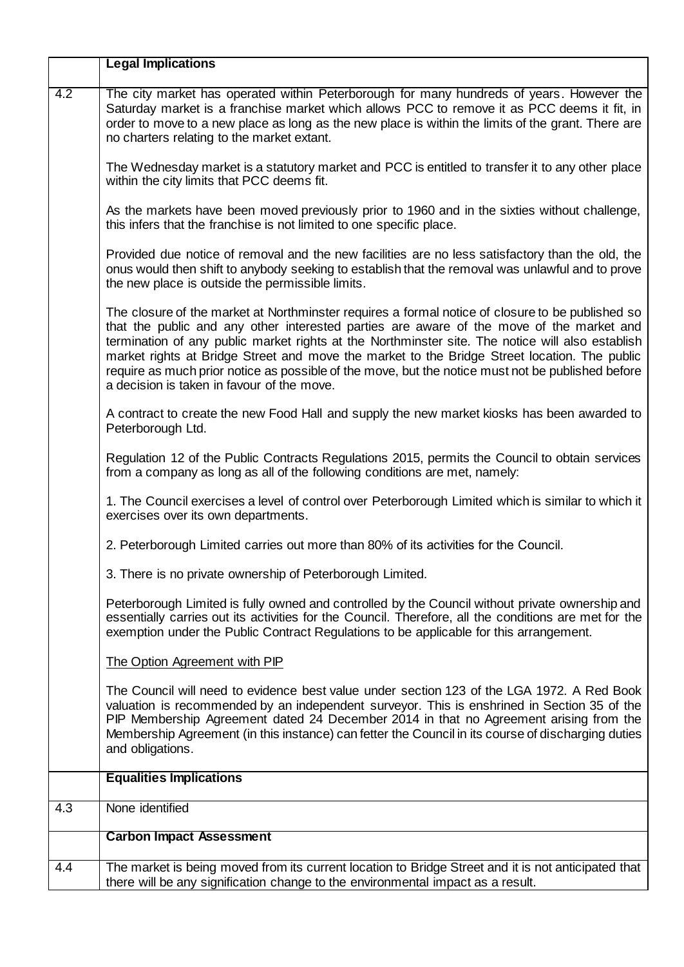|     | <b>Legal Implications</b>                                                                                                                                                                                                                                                                                                                                                                                                                                                                                                                           |  |  |
|-----|-----------------------------------------------------------------------------------------------------------------------------------------------------------------------------------------------------------------------------------------------------------------------------------------------------------------------------------------------------------------------------------------------------------------------------------------------------------------------------------------------------------------------------------------------------|--|--|
| 4.2 | The city market has operated within Peterborough for many hundreds of years. However the<br>Saturday market is a franchise market which allows PCC to remove it as PCC deems it fit, in<br>order to move to a new place as long as the new place is within the limits of the grant. There are<br>no charters relating to the market extant.                                                                                                                                                                                                         |  |  |
|     | The Wednesday market is a statutory market and PCC is entitled to transfer it to any other place<br>within the city limits that PCC deems fit.                                                                                                                                                                                                                                                                                                                                                                                                      |  |  |
|     | As the markets have been moved previously prior to 1960 and in the sixties without challenge,<br>this infers that the franchise is not limited to one specific place.                                                                                                                                                                                                                                                                                                                                                                               |  |  |
|     | Provided due notice of removal and the new facilities are no less satisfactory than the old, the<br>onus would then shift to anybody seeking to establish that the removal was unlawful and to prove<br>the new place is outside the permissible limits.                                                                                                                                                                                                                                                                                            |  |  |
|     | The closure of the market at Northminster requires a formal notice of closure to be published so<br>that the public and any other interested parties are aware of the move of the market and<br>termination of any public market rights at the Northminster site. The notice will also establish<br>market rights at Bridge Street and move the market to the Bridge Street location. The public<br>require as much prior notice as possible of the move, but the notice must not be published before<br>a decision is taken in favour of the move. |  |  |
|     | A contract to create the new Food Hall and supply the new market kiosks has been awarded to<br>Peterborough Ltd.                                                                                                                                                                                                                                                                                                                                                                                                                                    |  |  |
|     | Regulation 12 of the Public Contracts Regulations 2015, permits the Council to obtain services<br>from a company as long as all of the following conditions are met, namely:                                                                                                                                                                                                                                                                                                                                                                        |  |  |
|     | 1. The Council exercises a level of control over Peterborough Limited which is similar to which it<br>exercises over its own departments.                                                                                                                                                                                                                                                                                                                                                                                                           |  |  |
|     | 2. Peterborough Limited carries out more than 80% of its activities for the Council.                                                                                                                                                                                                                                                                                                                                                                                                                                                                |  |  |
|     | 3. There is no private ownership of Peterborough Limited.                                                                                                                                                                                                                                                                                                                                                                                                                                                                                           |  |  |
|     | Peterborough Limited is fully owned and controlled by the Council without private ownership and<br>essentially carries out its activities for the Council. Therefore, all the conditions are met for the<br>exemption under the Public Contract Regulations to be applicable for this arrangement.                                                                                                                                                                                                                                                  |  |  |
|     | The Option Agreement with PIP                                                                                                                                                                                                                                                                                                                                                                                                                                                                                                                       |  |  |
|     | The Council will need to evidence best value under section 123 of the LGA 1972. A Red Book<br>valuation is recommended by an independent surveyor. This is enshrined in Section 35 of the<br>PIP Membership Agreement dated 24 December 2014 in that no Agreement arising from the<br>Membership Agreement (in this instance) can fetter the Council in its course of discharging duties<br>and obligations.                                                                                                                                        |  |  |
|     | <b>Equalities Implications</b>                                                                                                                                                                                                                                                                                                                                                                                                                                                                                                                      |  |  |
| 4.3 | None identified                                                                                                                                                                                                                                                                                                                                                                                                                                                                                                                                     |  |  |
|     | <b>Carbon Impact Assessment</b>                                                                                                                                                                                                                                                                                                                                                                                                                                                                                                                     |  |  |
| 4.4 | The market is being moved from its current location to Bridge Street and it is not anticipated that<br>there will be any signification change to the environmental impact as a result.                                                                                                                                                                                                                                                                                                                                                              |  |  |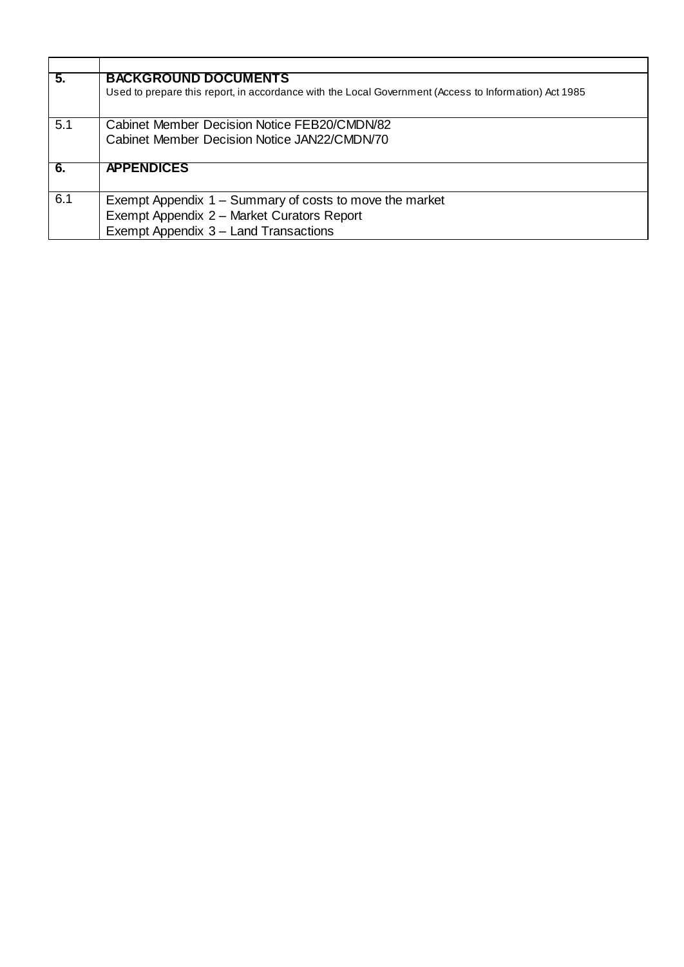| 5.  | <b>BACKGROUND DOCUMENTS</b>                                                                           |
|-----|-------------------------------------------------------------------------------------------------------|
|     | Used to prepare this report, in accordance with the Local Government (Access to Information) Act 1985 |
| 5.1 | Cabinet Member Decision Notice FEB20/CMDN/82                                                          |
|     | Cabinet Member Decision Notice JAN22/CMDN/70                                                          |
| 6.  | <b>APPENDICES</b>                                                                                     |
| 6.1 | Exempt Appendix 1 – Summary of costs to move the market                                               |
|     | Exempt Appendix 2 - Market Curators Report                                                            |
|     | Exempt Appendix 3 - Land Transactions                                                                 |